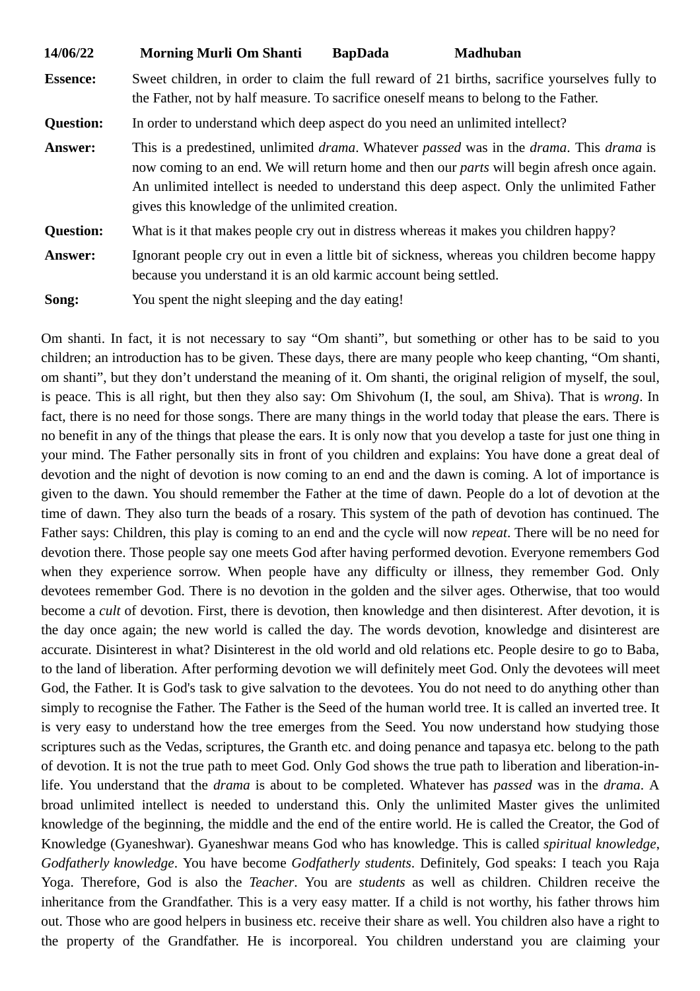| 14/06/22         | <b>Morning Murli Om Shanti</b>                                                                                                                                                                                                                                                                                                                                              | <b>BapDada</b> | <b>Madhuban</b>                                                                             |
|------------------|-----------------------------------------------------------------------------------------------------------------------------------------------------------------------------------------------------------------------------------------------------------------------------------------------------------------------------------------------------------------------------|----------------|---------------------------------------------------------------------------------------------|
| <b>Essence:</b>  | Sweet children, in order to claim the full reward of 21 births, sacrifice yourselves fully to<br>the Father, not by half measure. To sacrifice oneself means to belong to the Father.                                                                                                                                                                                       |                |                                                                                             |
| <b>Question:</b> | In order to understand which deep aspect do you need an unlimited intellect?                                                                                                                                                                                                                                                                                                |                |                                                                                             |
| <b>Answer:</b>   | This is a predestined, unlimited <i>drama</i> . Whatever <i>passed</i> was in the <i>drama</i> . This <i>drama</i> is<br>now coming to an end. We will return home and then our <i>parts</i> will begin afresh once again.<br>An unlimited intellect is needed to understand this deep aspect. Only the unlimited Father<br>gives this knowledge of the unlimited creation. |                |                                                                                             |
| <b>Question:</b> | What is it that makes people cry out in distress whereas it makes you children happy?                                                                                                                                                                                                                                                                                       |                |                                                                                             |
| <b>Answer:</b>   | because you understand it is an old karmic account being settled.                                                                                                                                                                                                                                                                                                           |                | Ignorant people cry out in even a little bit of sickness, whereas you children become happy |
| Song:            | You spent the night sleeping and the day eating!                                                                                                                                                                                                                                                                                                                            |                |                                                                                             |

Om shanti. In fact, it is not necessary to say "Om shanti", but something or other has to be said to you children; an introduction has to be given. These days, there are many people who keep chanting, "Om shanti, om shanti", but they don't understand the meaning of it. Om shanti, the original religion of myself, the soul, is peace. This is all right, but then they also say: Om Shivohum (I, the soul, am Shiva). That is *wrong*. In fact, there is no need for those songs. There are many things in the world today that please the ears. There is no benefit in any of the things that please the ears. It is only now that you develop a taste for just one thing in your mind. The Father personally sits in front of you children and explains: You have done a great deal of devotion and the night of devotion is now coming to an end and the dawn is coming. A lot of importance is given to the dawn. You should remember the Father at the time of dawn. People do a lot of devotion at the time of dawn. They also turn the beads of a rosary. This system of the path of devotion has continued. The Father says: Children, this play is coming to an end and the cycle will now *repeat*. There will be no need for devotion there. Those people say one meets God after having performed devotion. Everyone remembers God when they experience sorrow. When people have any difficulty or illness, they remember God. Only devotees remember God. There is no devotion in the golden and the silver ages. Otherwise, that too would become a *cult* of devotion. First, there is devotion, then knowledge and then disinterest. After devotion, it is the day once again; the new world is called the day. The words devotion, knowledge and disinterest are accurate. Disinterest in what? Disinterest in the old world and old relations etc. People desire to go to Baba, to the land of liberation. After performing devotion we will definitely meet God. Only the devotees will meet God, the Father. It is God's task to give salvation to the devotees. You do not need to do anything other than simply to recognise the Father. The Father is the Seed of the human world tree. It is called an inverted tree. It is very easy to understand how the tree emerges from the Seed. You now understand how studying those scriptures such as the Vedas, scriptures, the Granth etc. and doing penance and tapasya etc. belong to the path of devotion. It is not the true path to meet God. Only God shows the true path to liberation and liberation-inlife. You understand that the *drama* is about to be completed. Whatever has *passed* was in the *drama*. A broad unlimited intellect is needed to understand this. Only the unlimited Master gives the unlimited knowledge of the beginning, the middle and the end of the entire world. He is called the Creator, the God of Knowledge (Gyaneshwar). Gyaneshwar means God who has knowledge. This is called *spiritual knowledge*, *Godfatherly knowledge*. You have become *Godfatherly students*. Definitely, God speaks: I teach you Raja Yoga. Therefore, God is also the *Teacher*. You are *students* as well as children. Children receive the inheritance from the Grandfather. This is a very easy matter. If a child is not worthy, his father throws him out. Those who are good helpers in business etc. receive their share as well. You children also have a right to the property of the Grandfather. He is incorporeal. You children understand you are claiming your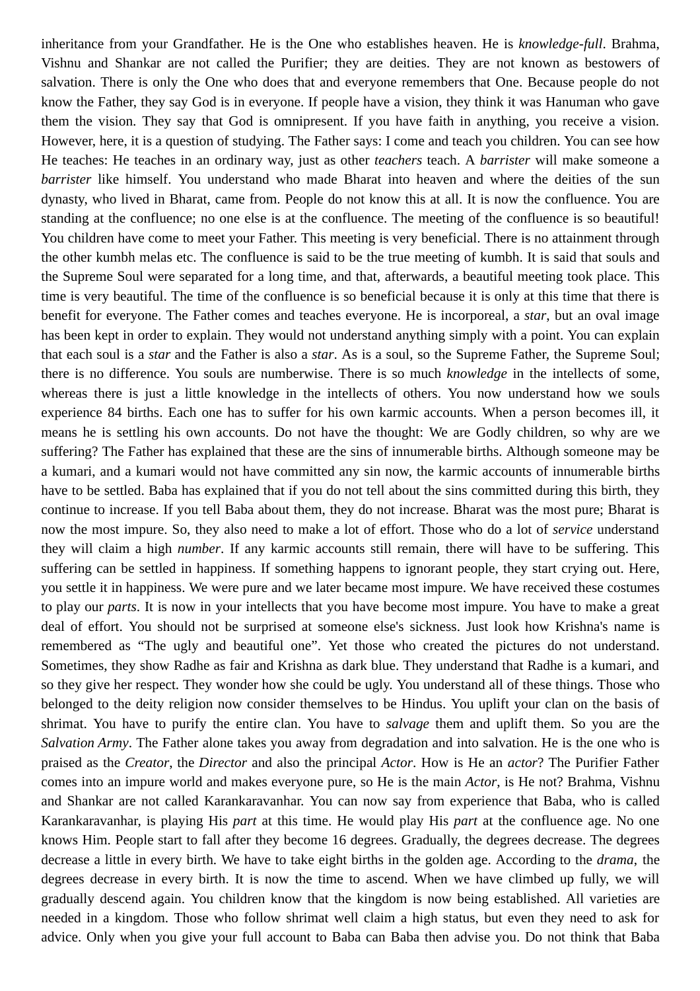inheritance from your Grandfather. He is the One who establishes heaven. He is *knowledge-full*. Brahma, Vishnu and Shankar are not called the Purifier; they are deities. They are not known as bestowers of salvation. There is only the One who does that and everyone remembers that One. Because people do not know the Father, they say God is in everyone. If people have a vision, they think it was Hanuman who gave them the vision. They say that God is omnipresent. If you have faith in anything, you receive a vision. However, here, it is a question of studying. The Father says: I come and teach you children. You can see how He teaches: He teaches in an ordinary way, just as other *teachers* teach. A *barrister* will make someone a *barrister* like himself. You understand who made Bharat into heaven and where the deities of the sun dynasty, who lived in Bharat, came from. People do not know this at all. It is now the confluence. You are standing at the confluence; no one else is at the confluence. The meeting of the confluence is so beautiful! You children have come to meet your Father. This meeting is very beneficial. There is no attainment through the other kumbh melas etc. The confluence is said to be the true meeting of kumbh. It is said that souls and the Supreme Soul were separated for a long time, and that, afterwards, a beautiful meeting took place. This time is very beautiful. The time of the confluence is so beneficial because it is only at this time that there is benefit for everyone. The Father comes and teaches everyone. He is incorporeal, a *star*, but an oval image has been kept in order to explain. They would not understand anything simply with a point. You can explain that each soul is a *star* and the Father is also a *star*. As is a soul, so the Supreme Father, the Supreme Soul; there is no difference. You souls are numberwise. There is so much *knowledge* in the intellects of some, whereas there is just a little knowledge in the intellects of others. You now understand how we souls experience 84 births. Each one has to suffer for his own karmic accounts. When a person becomes ill, it means he is settling his own accounts. Do not have the thought: We are Godly children, so why are we suffering? The Father has explained that these are the sins of innumerable births. Although someone may be a kumari, and a kumari would not have committed any sin now, the karmic accounts of innumerable births have to be settled. Baba has explained that if you do not tell about the sins committed during this birth, they continue to increase. If you tell Baba about them, they do not increase. Bharat was the most pure; Bharat is now the most impure. So, they also need to make a lot of effort. Those who do a lot of *service* understand they will claim a high *number*. If any karmic accounts still remain, there will have to be suffering. This suffering can be settled in happiness. If something happens to ignorant people, they start crying out. Here, you settle it in happiness. We were pure and we later became most impure. We have received these costumes to play our *parts*. It is now in your intellects that you have become most impure. You have to make a great deal of effort. You should not be surprised at someone else's sickness. Just look how Krishna's name is remembered as "The ugly and beautiful one". Yet those who created the pictures do not understand. Sometimes, they show Radhe as fair and Krishna as dark blue. They understand that Radhe is a kumari, and so they give her respect. They wonder how she could be ugly. You understand all of these things. Those who belonged to the deity religion now consider themselves to be Hindus. You uplift your clan on the basis of shrimat. You have to purify the entire clan. You have to *salvage* them and uplift them. So you are the *Salvation Army*. The Father alone takes you away from degradation and into salvation. He is the one who is praised as the *Creator*, the *Director* and also the principal *Actor*. How is He an *actor*? The Purifier Father comes into an impure world and makes everyone pure, so He is the main *Actor*, is He not? Brahma, Vishnu and Shankar are not called Karankaravanhar. You can now say from experience that Baba, who is called Karankaravanhar, is playing His *part* at this time. He would play His *part* at the confluence age. No one knows Him. People start to fall after they become 16 degrees. Gradually, the degrees decrease. The degrees decrease a little in every birth. We have to take eight births in the golden age. According to the *drama*, the degrees decrease in every birth. It is now the time to ascend. When we have climbed up fully, we will gradually descend again. You children know that the kingdom is now being established. All varieties are needed in a kingdom. Those who follow shrimat well claim a high status, but even they need to ask for advice. Only when you give your full account to Baba can Baba then advise you. Do not think that Baba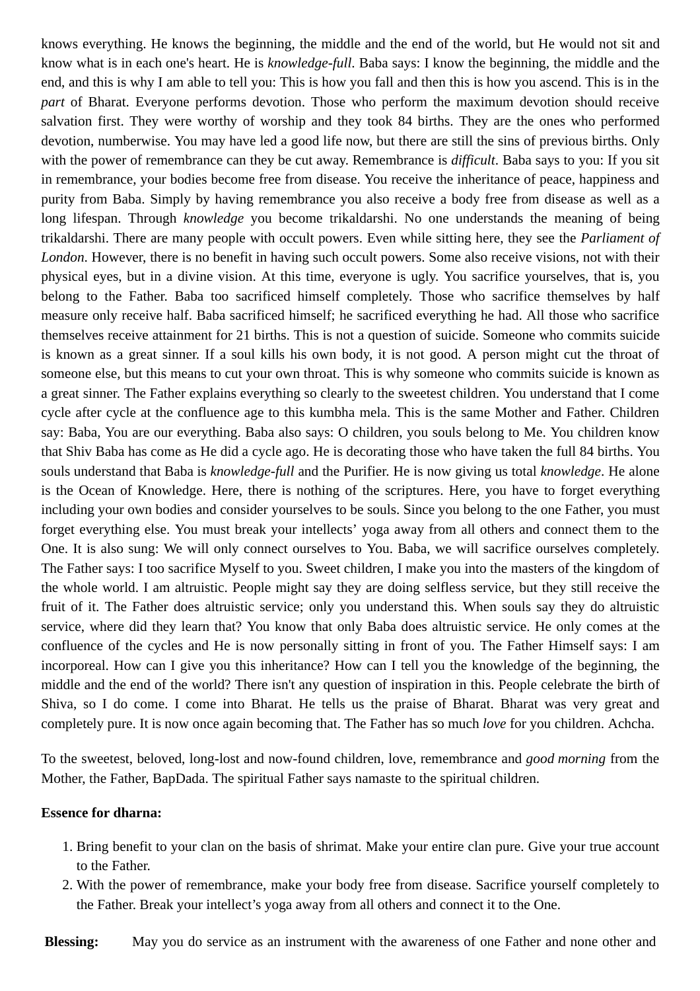knows everything. He knows the beginning, the middle and the end of the world, but He would not sit and know what is in each one's heart. He is *knowledge-full*. Baba says: I know the beginning, the middle and the end, and this is why I am able to tell you: This is how you fall and then this is how you ascend. This is in the *part* of Bharat. Everyone performs devotion. Those who perform the maximum devotion should receive salvation first. They were worthy of worship and they took 84 births. They are the ones who performed devotion, numberwise. You may have led a good life now, but there are still the sins of previous births. Only with the power of remembrance can they be cut away. Remembrance is *difficult*. Baba says to you: If you sit in remembrance, your bodies become free from disease. You receive the inheritance of peace, happiness and purity from Baba. Simply by having remembrance you also receive a body free from disease as well as a long lifespan. Through *knowledge* you become trikaldarshi. No one understands the meaning of being trikaldarshi. There are many people with occult powers. Even while sitting here, they see the *Parliament of London*. However, there is no benefit in having such occult powers. Some also receive visions, not with their physical eyes, but in a divine vision. At this time, everyone is ugly. You sacrifice yourselves, that is, you belong to the Father. Baba too sacrificed himself completely. Those who sacrifice themselves by half measure only receive half. Baba sacrificed himself; he sacrificed everything he had. All those who sacrifice themselves receive attainment for 21 births. This is not a question of suicide. Someone who commits suicide is known as a great sinner. If a soul kills his own body, it is not good. A person might cut the throat of someone else, but this means to cut your own throat. This is why someone who commits suicide is known as a great sinner. The Father explains everything so clearly to the sweetest children. You understand that I come cycle after cycle at the confluence age to this kumbha mela. This is the same Mother and Father. Children say: Baba, You are our everything. Baba also says: O children, you souls belong to Me. You children know that Shiv Baba has come as He did a cycle ago. He is decorating those who have taken the full 84 births. You souls understand that Baba is *knowledge-full* and the Purifier. He is now giving us total *knowledge*. He alone is the Ocean of Knowledge. Here, there is nothing of the scriptures. Here, you have to forget everything including your own bodies and consider yourselves to be souls. Since you belong to the one Father, you must forget everything else. You must break your intellects' yoga away from all others and connect them to the One. It is also sung: We will only connect ourselves to You. Baba, we will sacrifice ourselves completely. The Father says: I too sacrifice Myself to you. Sweet children, I make you into the masters of the kingdom of the whole world. I am altruistic. People might say they are doing selfless service, but they still receive the fruit of it. The Father does altruistic service; only you understand this. When souls say they do altruistic service, where did they learn that? You know that only Baba does altruistic service. He only comes at the confluence of the cycles and He is now personally sitting in front of you. The Father Himself says: I am incorporeal. How can I give you this inheritance? How can I tell you the knowledge of the beginning, the middle and the end of the world? There isn't any question of inspiration in this. People celebrate the birth of Shiva, so I do come. I come into Bharat. He tells us the praise of Bharat. Bharat was very great and completely pure. It is now once again becoming that. The Father has so much *love* for you children. Achcha.

To the sweetest, beloved, long-lost and now-found children, love, remembrance and *good morning* from the Mother, the Father, BapDada. The spiritual Father says namaste to the spiritual children.

## **Essence for dharna:**

- 1. Bring benefit to your clan on the basis of shrimat. Make your entire clan pure. Give your true account to the Father.
- 2. With the power of remembrance, make your body free from disease. Sacrifice yourself completely to the Father. Break your intellect's yoga away from all others and connect it to the One.